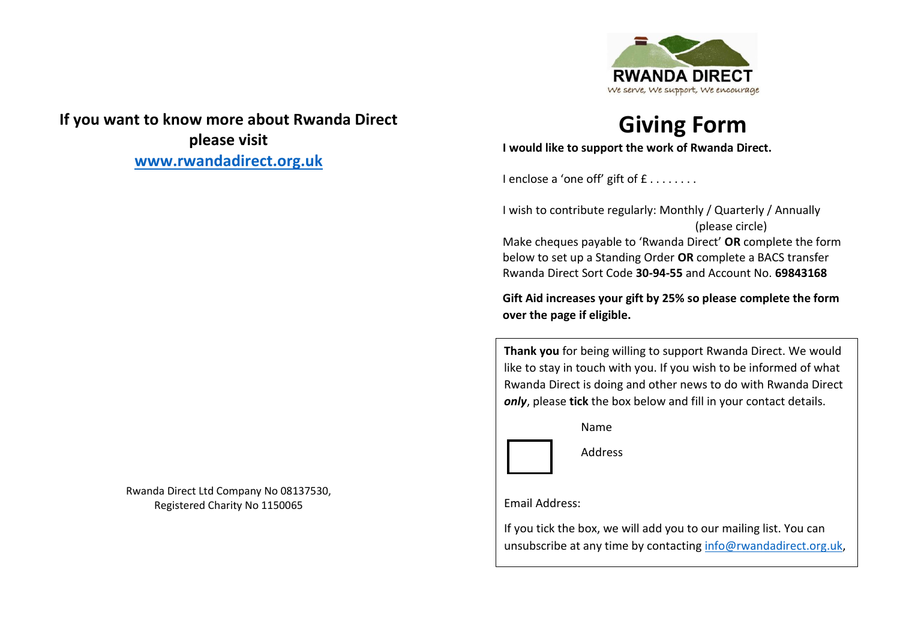

## **If you want to know more about Rwanda Direct please visit [www.rwandadirect.org.uk](http://www.rwandadirect.org.uk/)**

**Giving Form**

**I would like to support the work of Rwanda Direct.**

I enclose a 'one off' gift of  $f$ .......

I wish to contribute regularly: Monthly / Quarterly / Annually (please circle)

Make cheques payable to 'Rwanda Direct' **OR** complete the form below to set up a Standing Order **OR** complete a BACS transfer Rwanda Direct Sort Code **30‐94‐55** and Account No. **69843168**

**Gift Aid increases your gift by 25% so please complete the form over the page if eligible.**

**Thank you** for being willing to support Rwanda Direct. We would like to stay in touch with you. If you wish to be informed of what Rwanda Direct is doing and other news to do with Rwanda Direct *only*, please **tick** the box below and fill in your contact details.

Name



Address

Email Address:

If you tick the box, we will add you to our mailing list. You can unsubscribe at any time by contacting [info@rwandadirect.org.uk,](mailto:info@rwandadirect.org.uk)

Rwanda Direct Ltd Company No 08137530, Registered Charity No 1150065